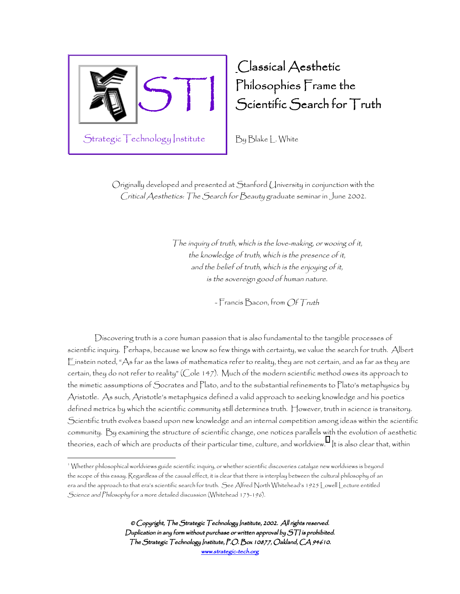

 $\overline{a}$ 

## Classical Aesthetic Philosophies Frame the Scientific Search for Truth

By Blake L. White

Originally developed and presented at Stanford University in conjunction with the Critical Aesthetics: The Search for Beauty graduate seminar in June 2002.

> The inquiry of truth, which is the love-making, or wooing of it, the knowledge of truth, which is the presence of it, and the belief of truth, which is the enjoying of it, is the sovereign good of human nature.

> > - Francis Bacon, from Of Truth

Discovering truth is a core human passion that is also fundamental to the tangible processes of scientific inquiry. Perhaps, because we know so few things with certainty, we value the search for truth. Albert Einstein noted, "As far as the laws of mathematics refer to reality, they are not certain, and as far as they are certain, they do not refer to reality" (Cole 147). Much of the modern scientific method owes its approach to the mimetic assumptions of Socrates and Plato, and to the substantial refinements to Plato's metaphysics by Aristotle. As such, Aristotle's metaphysics defined a valid approach to seeking knowledge and his poetics defined metrics by which the scientific community still determines truth. However, truth in science is transitory. Scientific truth evolves based upon new knowledge and an internal competition among ideas within the scientific community. By examining the structure of scientific change, one notices parallels with the evolution of aesthetic theories, each of which are products of their particular time, culture, and worldview.<sup>1</sup> It is also clear that, within

<sup>1</sup> Whether philosophical worldviews guide scientific inquiry, or whether scientific discoveries catalyze new worldviews is beyond the scope of this essay. Regardless of the causal effect, it is clear that there is interplay between the cultural philosophy of an era and the approach to that era's scientific search for truth. See Alfred North Whitehead's 1925 Lowell Lecture entitled Science and Philosophy for a more detailed discussion (Whitehead 173-196).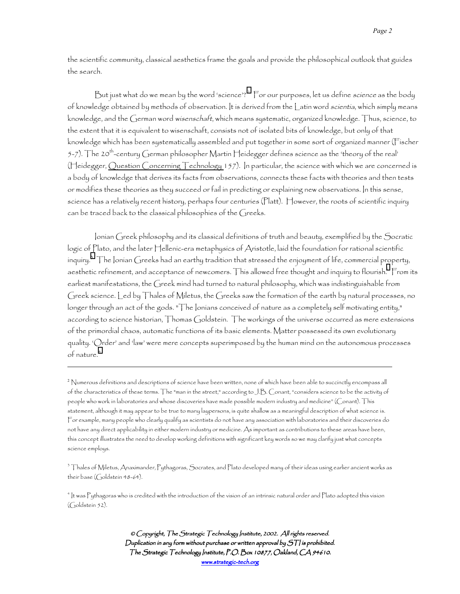the scientific community, classical aesthetics frame the goals and provide the philosophical outlook that guides the search.

But just what do we mean by the word 'science'?<sup>2</sup> For our purposes, let us define science as the body of knowledge obtained by methods of observation. It is derived from the Latin word scientia, which simply means knowledge, and the German word wisenschaft, which means systematic, organized knowledge. Thus, science, to the extent that it is equivalent to wisenschaft, consists not of isolated bits of knowledge, but only of that knowledge which has been systematically assembled and put together in some sort of organized manner (Fischer 5-7). The 20<sup>th</sup>-century German philosopher Martin Heidegger defines science as the 'theory of the real' (Heidegger, Question Concerning Technology 157). In particular, the science with which we are concerned is a body of knowledge that derives its facts from observations, connects these facts with theories and then tests or modifies these theories as they succeed or fail in predicting or explaining new observations. In this sense, science has a relatively recent history, perhaps four centuries (Platt). However, the roots of scientific inquiry can be traced back to the classical philosophies of the Greeks.

Ionian Greek philosophy and its classical definitions of truth and beauty, exemplified by the Socratic logic of Plato, and the later Hellenic-era metaphysics of Aristotle, laid the foundation for rational scientific inquiry. $^3$  The Ionian Greeks had an earthy tradition that stressed the enjoyment of life, commercial p[ro](#page-19-0)perty, aesthetic refinement, and acceptance of newcomers. This allowed free thought and inquiry to flourish.  $\mathrel{\mathsf{From}}$  its earliest manifestations, the Greek mind had turned to natural philosophy, which was indistinguishable from Greek science. Led by Thales of Miletus, the Greeks saw the formation of the earth by natural processes, no longer through an act of the gods. "The Ionians conceived of nature as a completely self motivating entity," according to science historian, Thomas Goldstein. The workings of the universe occurred as mere extensions of the primordial chaos, automatic functions of its basic elements. Matter possessed its own evolutionary quality. 'Order' and 'law' were mere concepts superimposed by the human mind on the autonomous processes of nature.<sup>4</sup>

 $\overline{a}$ 

3 Thales of Miletus, Anaximander, Pythagoras, Socrates, and Plato developed many of their ideas using earlier ancient works as their base (Goldstein 48-64).

4 It was Pythagoras who is credited with the introduction of the vision of an intrinsic natural order and Plato adopted this vision (Goldstein 52).

 $^2$  Numerous definitions and descriptions of science have been written, none of which have been able to succinctly encompass all of the characteristics of these terms. The "man in the street," according to J.B. Conant, "considers science to be the activity of people who work in laboratories and whose discoveries have made possible modern industry and medicine" (Conant). This statement, although it may appear to be true to many laypersons, is quite shallow as a meaningful description of what science is. For example, many people who clearly qualify as scientists do not have any association with laboratories and their discoveries do not have any direct applicability in either modern industry or medicine. As important as contributions to these areas have been, this concept illustrates the need to develop working definitions with significant key words so we may clarify just what concepts science employs.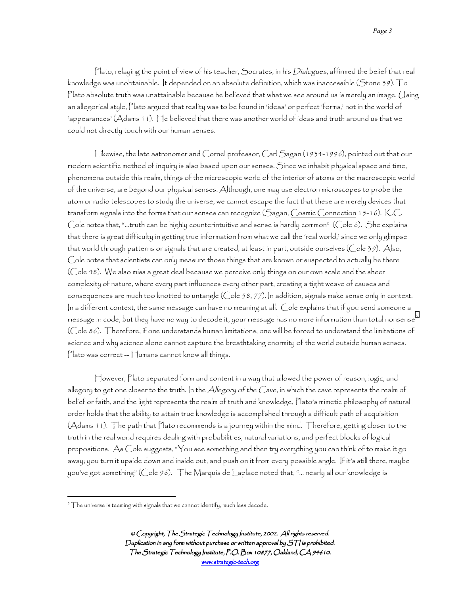Plato, relaying the point of view of his teacher, Socrates, in his Dialogues, affirmed the belief that real knowledge was unobtainable. It depended on an absolute definition, which was inaccessible (Stone 39). To Plato absolute truth was unattainable because he believed that what we see around us is merely an image. Using an allegorical style, Plato argued that reality was to be found in 'ideas' or perfect 'forms,' not in the world of 'appearances' (Adams 11). He believed that there was another world of ideas and truth around us that we could not directly touch with our human senses.

Likewise, the late astronomer and Cornel professor, Carl Sagan (1934-1996), pointed out that our modern scientific method of inquiry is also based upon our senses. Since we inhabit physical space and time, phenomena outside this realm, things of the microscopic world of the interior of atoms or the macroscopic world of the universe, are beyond our physical senses. Although, one may use electron microscopes to probe the atom or radio telescopes to study the universe, we cannot escape the fact that these are merely devices that transform signals into the forms that our senses can recognize (Sagan, Cosmic Connection 15-16). K.C. Cole notes that, "…truth can be highly counterintuitive and sense is hardly common" (Cole 6). She explains that there is great difficulty in getting true information from what we call the 'real world,' since we only glimpse that world through patterns or signals that are created, at least in part, outside ourselves (Cole 39). Also, Cole notes that scientists can only measure those things that are known or suspected to actually be there (Cole 48). We also miss a great deal because we perceive only things on our own scale and the sheer complexity of nature, where every part influences every other part, creating a tight weave of causes and consequences are much too knotted to untangle (Cole 58, 77). In addition, signals make sense only in context. In a different context, the same message can have no meaning at all. Cole explains that if you send someone a message in code, but they have no way to decode it, your message has no more information than total nonsense $^{\circ}$ (Cole 86). Therefore, if one understands human limitations, one will be forced to understand the limitations of science and why science alone cannot capture the breathtaking enormity of the world outside human senses.  $Pl$ ato was correct  $\Box$ umans cannot know all things.

However, Plato separated form and content in a way that allowed the power of reason, logic, and allegory to get one closer to the truth. In the Allegory of the Cave, in which the cave represents the realm of belief or faith, and the light represents the realm of truth and knowledge, Plato's mimetic philosophy of natural order holds that the ability to attain true knowledge is accomplished through a difficult path of acquisition (Adams 11). The path that Plato recommends is a journey within the mind. Therefore, getting closer to the truth in the real world requires dealing with probabilities, natural variations, and perfect blocks of logical propositions. As Cole suggests, "You see something and then try everything you can think of to make it go away; you turn it upside down and inside out, and push on it from every possible angle. If it's still there, maybe you've got something" (Cole 96). The Marquis de Laplace noted that, "… nearly all our knowledge is

 $\overline{a}$ 

 $^5$   $\top$ he universe is teeming with signals that we cannot identify, much less decode.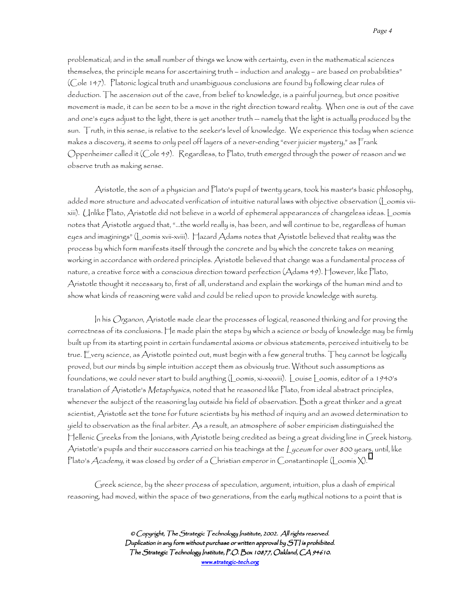problematical; and in the small number of things we know with certainty, even in the mathematical sciences themselves, the principle means for ascertaining truth – induction and analogy – are based on probabilities" (Cole 147). Platonic logical truth and unambiguous conclusions are found by following clear rules of deduction. The ascension out of the cave, from belief to knowledge, is a painful journey, but once positive movement is made, it can be seen to be a move in the right direction toward reality. When one is out of the cave and one's eyes adjust to the light, there is yet another truth -- namely that the light is actually produced by the sun. Truth, in this sense, is relative to the seeker's level of knowledge. We experience this today when science makes a discovery, it seems to only peel off layers of a never-ending "ever juicier mystery," as Frank Oppenheimer called it (Cole 49). Regardless, to Plato, truth emerged through the power of reason and we observe truth as making sense.

Aristotle, the son of a physician and Plato's pupil of twenty years, took his master's basic philosophy, added more structure and advocated verification of intuitive natural laws with objective observation (Loomis viixiii). Unlike Plato, Aristotle did not believe in a world of ephemeral appearances of changeless ideas. Loomis notes that Aristotle argued that, "…the world really is, has been, and will continue to be, regardless of human eyes and imaginings" (Loomis xvii-xviii). Hazard Adams notes that Aristotle believed that reality was the process by which form manifests itself through the concrete and by which the concrete takes on meaning working in accordance with ordered principles. Aristotle believed that change was a fundamental process of nature, a creative force with a conscious direction toward perfection (Adams 49). However, like Plato, Aristotle thought it necessary to, first of all, understand and explain the workings of the human mind and to show what kinds of reasoning were valid and could be relied upon to provide knowledge with surety.

In his Organon, Aristotle made clear the processes of logical, reasoned thinking and for proving the correctness of its conclusions. He made plain the steps by which a science or body of knowledge may be firmly built up from its starting point in certain fundamental axioms or obvious statements, perceived intuitively to be true. Every science, as Aristotle pointed out, must begin with a few general truths. They cannot be logically proved, but our minds by simple intuition accept them as obviously true. Without such assumptions as foundations, we could never start to build anything (Loomis, xi-xxxviii). Louise Loomis, editor of a 1940's translation of Aristotle's Metaphysics, noted that he reasoned like Plato, from ideal abstract principles, whenever the subject of the reasoning lay outside his field of observation. Both a great thinker and a great scientist, Aristotle set the tone for future scientists by his method of inquiry and an avowed determination to yield to observation as the final arbiter. As a result, an atmosphere of sober empiricism distinguished the Hellenic Greeks from the Ionians, with Aristotle being credited as being a great dividing line in Greek history. Aristotle's pupils and their successors carried on his teachings at the Lyceum for over 800 years, until, like Plato's  $\cal A$ cademy, it was closed by order of a Christian emperor in Constantinople (Loomis X).  $^{\textrm{\tiny{\rm{ii}}}}$  $^{\textrm{\tiny{\rm{ii}}}}$  $^{\textrm{\tiny{\rm{ii}}}}$ 

Greek science, by the sheer process of speculation, argument, intuition, plus a dash of empirical reasoning, had moved, within the space of two generations, from the early mythical notions to a point that is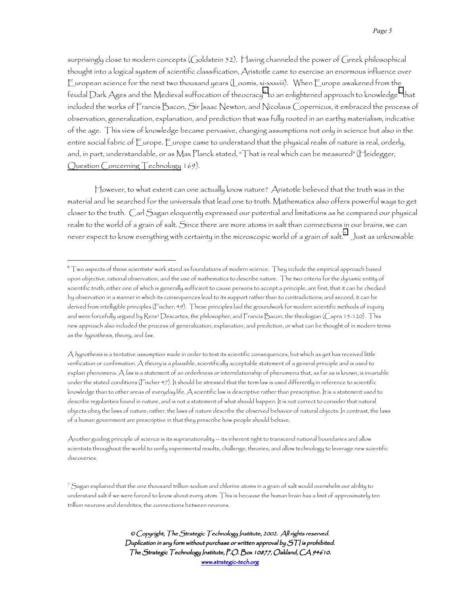surprisingly close to modern concepts (Goldstein 52). Having channeled the power of Greek philosophical thought into a logical system of scientific classification, Aristotle came to exercise an enormous influence over European science for the next two thousand years (Loomis, xi-xxxviii). When Europe awakened from the feudal Dark Ages and the Medieval suffocation of theocracy''' to an enlightened approach to knowledge $^{\circ}$  that included the works of Francis Bacon, Sir Isaac Newton, and Nicolaus Copernicus, it embraced the process of observation, generalization, explanation, and prediction that was fully rooted in an earthy materialism, indicative of the age. This view of knowledge became pervasive, changing assumptions not only in science but also in the entire social fabric of Europe. Europe came to understand that the physical realm of nature is real, orderly, and, in part, understandable, or as Max Planck stated, "That is real which can be measured"(Heidegger, Question Concerning Technology 169).

However, to what extent can one actually know nature? Aristotle believed that the truth was in the material and he searched for the universals that lead one to truth. Mathematics also offers powerful ways to get closer to the truth. Carl Sagan eloquently expressed our potential and limitations as he compared our physical realm to the world of a grain of salt. Since there are more atoms in salt than connections in our brains, we can never expect to know everything with certainty in the microscopic world of a grain of salt. $^7$   $\,$  Just as unknowable

 $\overline{a}$ 

Another guiding principle of science is its supranationality -- its inherent right to transcend national boundaries and allow scientists throughout the world to verify experimental results, challenge, theories, and allow technology to leverage new scientific discoveries.

 $^6$  T wo aspects of these scientists' work stand as foundations of modern science. They include the empirical approach based upon objective, rational observation, and the use of mathematics to describe nature. The two criteria for the dynamic entity of scientific truth, either one of which is generally sufficient to cause persons to accept a principle, are first, that it can be checked by observation in a manner in which its consequences lead to its support rather than to contradictions; and second, it can be derived from intelligible principles (Fischer, 49). These principles laid the groundwork for modern scientific methods of inquiry and were forcefully argued by Rene' Descartes, the philosopher, and Francis Bacon, the theologian (Capra 15-120). This new approach also included the process of generalization, explanation, and prediction, or what can be thought of in modern terms as the *hypothesis*, theory, and law.

A *hypothesis* is a tentative assumption made in order to test its scientific consequences, but which as yet has received little verification or confirmation. A theory is a plausible, scientifically acceptable statement of a general principle and is used to explain phenomena. A law is a statement of an orderliness or interrelationship of phenomena that, as far as is known, is invariable under the stated conditions (Fischer 47). It should be stressed that the term law is used differently in reference to scientific knowledge than to other areas of everyday life. A scientific law is descriptive rather than prescriptive. It is a statement used to describe regularities found in nature, and is not a statement of what should happen. It is not correct to consider that natural objects obey the laws of nature; rather, the laws of nature describe the observed behavior of natural objects. In contrast, the laws of a human government are prescriptive in that they prescribe how people should behave.

 $^7$  Sagan explained that the one thousand trillion sodium and chlorine atoms in a grain of salt would overwhelm our ability to understand salt if we were forced to know about every atom. This is because the human brain has a limit of approximately ten trillion neurons and dendrites, the connections between neurons.

<sup>©</sup> Copyright, The Strategic Technology Institute, 2002. All rights reserved. Duplication in any form without purchase or written approval by  $S\mathcal{T}$  is prohibited. The Strategic Technology Institute, P.O. Box 10877, Oakland, CA 94610. www.strategic-tech.org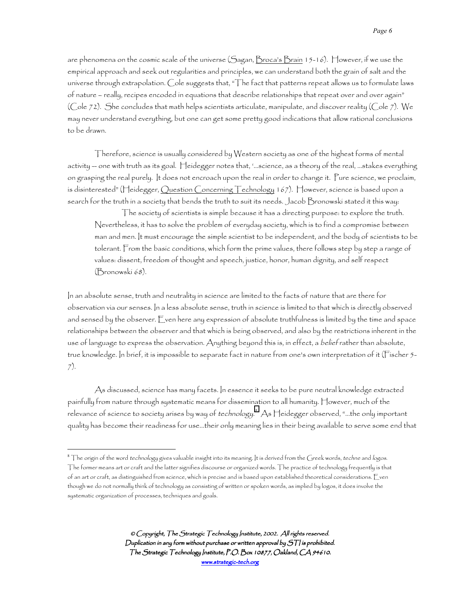are phenomena on the cosmic scale of the universe (Sagan, Broca's Brain 15-16). However, if we use the empirical approach and seek out regularities and principles, we can understand both the grain of salt and the universe through extrapolation. Cole suggests that, "The fact that patterns repeat allows us to formulate laws of nature – really, recipes encoded in equations that describe relationships that repeat over and over again" (Cole 72). She concludes that math helps scientists articulate, manipulate, and discover reality (Cole 7). We may never understand everything, but one can get some pretty good indications that allow rational conclusions to be drawn.

Therefore, science is usually considered by Western society as one of the highest forms of mental activity -- one with truth as its goal. Heidegger notes that, '…science, as a theory of the real, …stakes everything on grasping the real purely. It does not encroach upon the real in order to change it. Pure science, we proclaim, is disinterested" (Heidegger, Question Concerning Technology 167). However, science is based upon a search for the truth in a society that bends the truth to suit its needs. Jacob Bronowski stated it this way:

The society of scientists is simple because it has a directing purpose: to explore the truth. Nevertheless, it has to solve the problem of everyday society, which is to find a compromise between man and men. It must encourage the simple scientist to be independent, and the body of scientists to be tolerant. From the basic conditions, which form the prime values, there follows step by step a range of values: dissent, freedom of thought and speech, justice, honor, human dignity, and self respect (Bronowski 68).

In an absolute sense, truth and neutrality in science are limited to the facts of nature that are there for observation via our senses. In a less absolute sense, truth in science is limited to that which is directly observed and sensed by the observer. Even here any expression of absolute truthfulness is limited by the time and space relationships between the observer and that which is being observed, and also by the restrictions inherent in the use of language to express the observation. Anything beyond this is, in effect, a belief rather than absolute, true knowledge. In brief, it is impossible to separate fact in nature from one's own interpretation of it (Fischer 5- 7).

As discussed, science has many facets. In essence it seeks to be pure neutral knowledge extracted painfully from nature through systematic means for dissemination to all humanity. However, much of the relevance of science to society arises by way of *technology.* $^s$  $\Delta$ *s*  $\sqcap$ eidegger observed, "…the only important quality has become their readiness for use…their only meaning lies in their being available to serve some end that

 $\overline{a}$ 

 $^8$  The origin of the word *technology* gives valuable insight into its meaning. It is derived from the Greek words, *techne* and *logos*. The former means art or craft and the latter signifies discourse or organized words. The practice of technology frequently is that of an art or craft, as distinguished from science, which is precise and is based upon established theoretical considerations. Even though we do not normally think of technology as consisting of written or spoken words, as implied by logos, it does involve the systematic organization of processes, techniques and goals.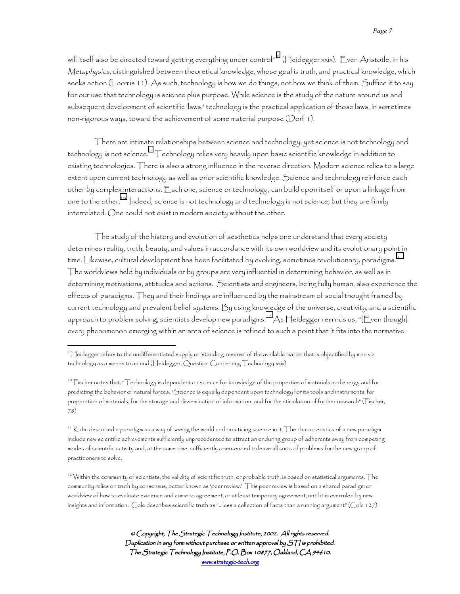will itself also be directed toward getting everything under control<sup>"</sup> (Heidegger xxix). Even Aristotle, in his Metaphysics, distinguished between theoretical knowledge, whose goal is truth, and practical knowledge, which seeks action (Loomis 11). As such, technology is how we do things, not how we think of them. Suffice it to say for our use that technology is science plus purpose. While science is the study of the nature around us and subsequent development of scientific 'laws,' technology is the practical application of those laws, in sometimes non-rigorous ways, toward the achievement of some material purpose (Dorf 1).

There are intimate relationships between science and technology; yet science is not technology and  $\epsilon$ technology is not science. $^{\text{iv}}$   $\top$ echnology relies very heavily upon basic scientific knowledge in addition to existing technologies. There is also a strong influence in the reverse direction. Modern science relies to a large extent upon current technology as well as prior scientific knowledge. Science and technology reinforce each other by complex interactions. Each one, science or technology, can build upon itself or upon a linkage from one to the other.10 Indeed, science is not technology and technology is not science, but they are firmly interrelated. One could not exist in modern society without the other.

The study of the history and evolution of aesthetics helps one understand that every society determines reality, truth, beauty, and values in accordance with its own worldview and its evolutionary point in time. Likewise, cultural development has been facilitated by evolving, sometimes revolutionary, paradigms. 11 The worldviews held by individuals or by groups are very influential in determining behavior, as well as in determining motivations, attitudes and actions. Scientists and engineers, being fully human, also experience the effects of paradigms. They and their findings are influenced by the mainstream of social thought framed by current technology and prevalent belief systems. By using knowledge of the universe, creativity, and a scientific approach to problem solving, scientists develop new paradigms.<sup>12</sup> As Heidegger reminds us, "[Even though] every phenomenon emerging within an area of science is refined to such a point that it fits into the normative

 $\overline{a}$ 

 $^{12}$  Within the community of scientists, the validity of scientific truth, or probable truth, is based on statistical arguments. The community relies on truth by consensus, better known as 'peer review.' This peer review is based on a shared paradigm or worldview of how to evaluate evidence and come to agreement, or at least temporary agreement, until it is overruled by new insights and information. Cole describes scientific truth as "…less a collection of facts than a running argument" (Cole 127).

<sup>9</sup> Heidegger refers to the undifferentiated supply or 'standing-reserve' of the available matter that is objectified by man via technology as a means to an end (Heidegger, Ouestion Concerning Technology xxix).

<sup>10</sup> Fischer notes that, "Technology is dependent on science for knowledge of the properties of materials and energy and for predicting the behavior of natural forces. "Science is equally dependent upon technology for its tools and instruments, for preparation of materials, for the storage and dissemination of information, and for the stimulation of further research" (Fischer, 78).

<sup>&</sup>lt;sup>11</sup> Kuhn described a *paradigm* as a way of seeing the world and practicing science in it. The characteristics of a new paradigm include new scientific achievements sufficiently unprecedented to attract an enduring group of adherents away from competing modes of scientific activity and, at the same time, sufficiently open-ended to leave all sorts of problems for the new group of practitioners to solve.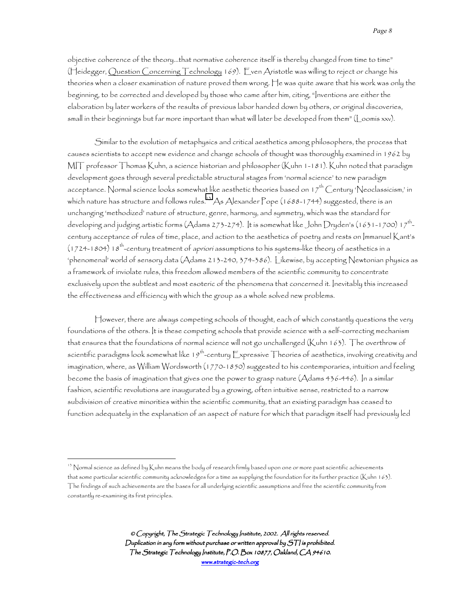objective coherence of the theory…that normative coherence itself is thereby changed from time to time" (Heidegger, Question Concerning Technology 169). Even Aristotle was willing to reject or change his theories when a closer examination of nature proved them wrong. He was quite aware that his work was only the beginning, to be corrected and developed by those who came after him, citing, "Inventions are either the elaboration by later workers of the results of previous labor handed down by others, or original discoveries, small in their beginnings but far more important than what will later be developed from them" (Loomis xxv).

Similar to the evolution of metaphysics and critical aesthetics among philosophers, the process that causes scientists to accept new evidence and change schools of thought was thoroughly examined in 1962 by MIT professor Thomas Kuhn, a science historian and philosopher (Kuhn 1-181). Kuhn noted that paradigm development goes through several predictable structural stages from 'normal science' to new paradigm acceptance. Normal science looks somewhat like aesthetic theories based on 17<sup>th</sup> Century 'Neoclassicism,' in which nature has structure and follows rules. $^{15}$  As Alexander Pope (1688-1744) suggested, there is an unchanging 'methodized' nature of structure, genre, harmony, and symmetry, which was the standard for developing and judging artistic forms (Adams 273-274). It is somewhat like John Dryden's (1631-1700) 17<sup>th</sup>century acceptance of rules of time, place, and action to the aesthetics of poetry and rests on Immanuel Kant's (1724-1804) 18<sup>th</sup>-century treatment of *apriori* assumptions to his systems-like theory of aesthetics in a 'phenomenal' world of sensory data (Adams 213-240, 374-386). Likewise, by accepting Newtonian physics as a framework of inviolate rules, this freedom allowed members of the scientific community to concentrate exclusively upon the subtlest and most esoteric of the phenomena that concerned it. Inevitably this increased the effectiveness and efficiency with which the group as a whole solved new problems.

However, there are always competing schools of thought, each of which constantly questions the very foundations of the others. It is these competing schools that provide science with a self-correcting mechanism that ensures that the foundations of normal science will not go unchallenged (Kuhn 163). The overthrow of scientific paradigms look somewhat like 19<sup>th</sup>-century Expressive Theories of aesthetics, involving creativity and imagination, where, as William Wordsworth (1770-1850) suggested to his contemporaries, intuition and feeling become the basis of imagination that gives one the power to grasp nature (Adams 436-446). In a similar fashion, scientific revolutions are inaugurated by a growing, often intuitive sense, restricted to a narrow subdivision of creative minorities within the scientific community, that an existing paradigm has ceased to function adequately in the explanation of an aspect of nature for which that paradigm itself had previously led

 $\overline{a}$ 

<sup>13</sup> Normal science as defined by Kuhn means the body of research firmly based upon one or more past scientific achievements that some particular scientific community acknowledges for a time as supplying the foundation for its further practice (Kuhn 163). The findings of such achievements are the bases for all underlying scientific assumptions and free the scientific community from constantly re-examining its first principles.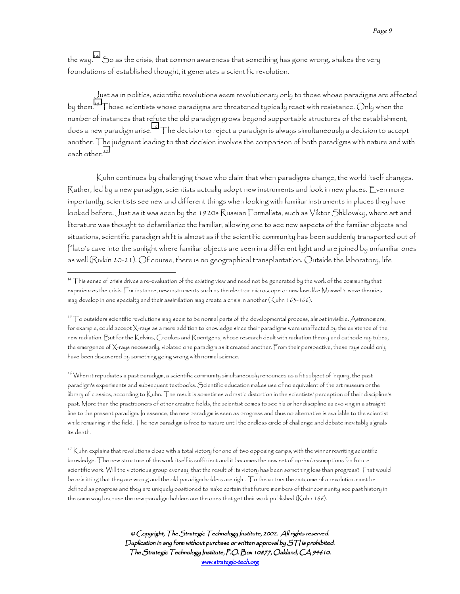the way.14 So as the crisis, that common awareness that something has gone wrong, shakes the very foundations of established thought, it generates a scientific revolution.

Just as in politics, scientific revolutions seem revolutionary only to those whose paradigms are affected by them. $^{15}$  Those scientists whose paradigms are threatened typically react with resistance. Only when the number of instances that refute the old paradigm grows beyond supportable structures of the establishment, does a new paradigm arise.16 The decision to reject a paradigm is always simultaneously a decision to accept another. The judgment leading to that decision involves the comparison of both paradigms with nature and with each other. $17$ 

 Kuhn continues by challenging those who claim that when paradigms change, the world itself changes. Rather, led by a new paradigm, scientists actually adopt new instruments and look in new places. Even more importantly, scientists see new and different things when looking with familiar instruments in places they have looked before. Just as it was seen by the 1920s Russian Formalists, such as Viktor Shklovsky, where art and literature was thought to defamiliarize the familiar, allowing one to see new aspects of the familiar objects and situations, scientific paradigm shift is almost as if the scientific community has been suddenly transported out of Plato's cave into the sunlight where familiar objects are seen in a different light and are joined by unfamiliar ones as well (Rivkin 20-21). Of course, there is no geographical transplantation. Outside the laboratory, life

 $\overline{a}$ 

16 When it repudiates a past paradigm, a scientific community simultaneously renounces as a fit subject of inquiry, the past paradigm's experiments and subsequent textbooks. Scientific education makes use of no equivalent of the art museum or the library of classics, according to Kuhn. The result is sometimes a drastic distortion in the scientists' perception of their discipline's past. More than the practitioners of other creative fields, the scientist comes to see his or her discipline as evolving in a straight line to the present paradigm. In essence, the new paradigm is seen as progress and thus no alternative is available to the scientist while remaining in the field. The new paradigm is free to mature until the endless circle of challenge and debate inevitably signals its death.

 $17$  Kuhn explains that revolutions close with a total victory for one of two opposing camps, with the winner rewriting scientific knowledge. The new structure of the work itself is sufficient and it becomes the new set of apriori assumptions for future scientific work. Will the victorious group ever say that the result of its victory has been something less than progress? That would be admitting that they are wrong and the old paradigm holders are right. To the victors the outcome of a revolution must be defined as progress and they are uniquely positioned to make certain that future members of their community see past history in the same way because the new paradigm holders are the ones that get their work published (Kuhn 166).

<sup>&</sup>lt;sup>14</sup> This sense of crisis drives a re-evaluation of the existing view and need not be generated by the work of the community that experiences the crisis. For instance, new instruments such as the electron microscope or new laws like Maxwell's wave theories may develop in one specialty and their assimilation may create a crisis in another (Kuhn 163-166).

 $15$  To outsiders scientific revolutions may seem to be normal parts of the developmental process, almost invisible. Astronomers, for example, could accept X-rays as a mere addition to knowledge since their paradigms were unaffected by the existence of the new radiation. But for the Kelvins, Crookes and Roentgens, whose research dealt with radiation theory and cathode ray tubes, the emergence of X-rays necessarily, violated one paradigm as it created another. From their perspective, these rays could only have been discovered by something going wrong with normal science.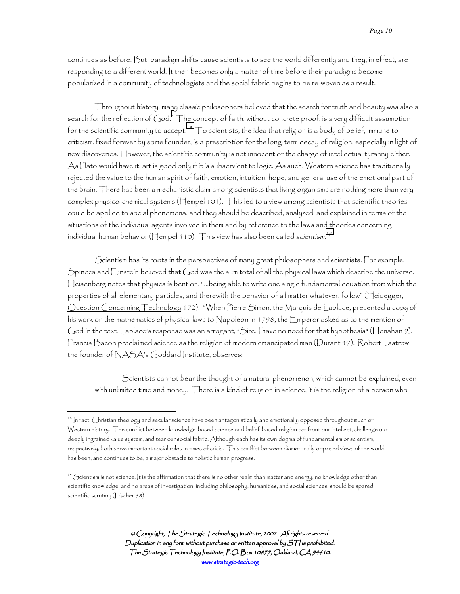continues as before. But, paradigm shifts cause scientists to see the world differently and they, in effect, are responding to a different world. It then becomes only a matter of time before their paradigms become popularized in a community of technologists and the social fabric begins to be re-woven as a result.

Throughout history, many classic philosophers believed that the search for truth and beauty was also a search for the reflection of God. $^{\circ}$  The concept of faith, without concrete proof, is a [v](#page-19-0)ery difficult assumption for the scientific community to accept.<sup>18</sup>  $\top$ o scientists, the idea that religion is a body of belief, immune to criticism, fixed forever by some founder, is a prescription for the long-term decay of religion, especially in light of new discoveries. However, the scientific community is not innocent of the charge of intellectual tyranny either. As Plato would have it, art is good only if it is subservient to logic. As such, Western science has traditionally rejected the value to the human spirit of faith, emotion, intuition, hope, and general use of the emotional part of the brain. There has been a mechanistic claim among scientists that living organisms are nothing more than very complex physico-chemical systems (Hempel 101). This led to a view among scientists that scientific theories could be applied to social phenomena, and they should be described, analyzed, and explained in terms of the situations of the individual agents involved in them and by reference to the laws and theories concerning individual human behavior (Hempel 110). This view has also been called *scientism*.'<sup>9</sup>

Scientism has its roots in the perspectives of many great philosophers and scientists. For example, Spinoza and Einstein believed that God was the sum total of all the physical laws which describe the universe. Heisenberg notes that physics is bent on, "…being able to write one single fundamental equation from which the properties of all elementary particles, and therewith the behavior of all matter whatever, follow" (Heidegger, Question Concerning Technology 172). "When Pierre Simon, the Marquis de Laplace, presented a copy of his work on the mathematics of physical laws to Napoleon in 1798, the Emperor asked as to the mention of God in the text. Laplace's response was an arrogant, "Sire, I have no need for that hypothesis" (Henahan 9). Francis Bacon proclaimed science as the religion of modern emancipated man (Durant 47). Robert Jastrow, the founder of NASA's Goddard Institute, observes:

Scientists cannot bear the thought of a natural phenomenon, which cannot be explained, even with unlimited time and money. There is a kind of religion in science; it is the religion of a person who

 $\overline{a}$ 

<sup>&</sup>lt;sup>18</sup> In fact, Christian theology and secular science have been antagonistically and emotionally opposed throughout much of Western history. The conflict between knowledge-based science and belief-based religion confront our intellect, challenge our deeply ingrained value system, and tear our social fabric. Although each has its own dogma of fundamentalism or scientism, respectively, both serve important social roles in times of crisis. This conflict between diametrically opposed views of the world has been, and continues to be, a major obstacle to holistic human progress.

 $19$  Scientism is not science. It is the affirmation that there is no other realm than matter and energy, no knowledge other than scientific knowledge, and no areas of investigation, including philosophy, humanities, and social sciences, should be spared scientific scrutiny (Fischer 68).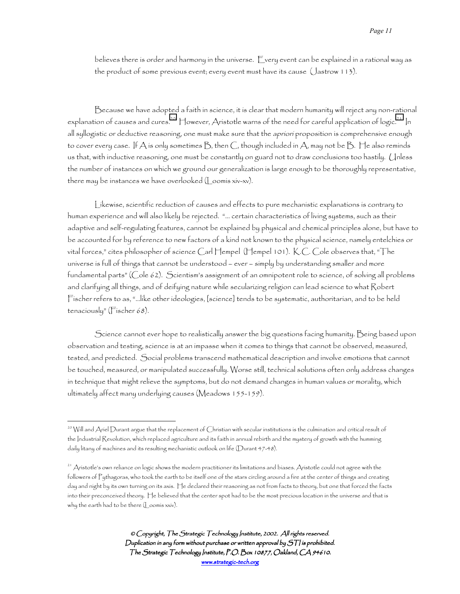believes there is order and harmony in the universe. Every event can be explained in a rational way as the product of some previous event; every event must have its cause (Jastrow 113).

Because we have adopted a faith in science, it is clear that modern humanity will reject any non-rational explanation of causes and cures.<sup>20</sup> However, Aristotle warns of the need for careful application of logic.<sup>21</sup> In all syllogistic or deductive reasoning, one must make sure that the apriori proposition is comprehensive enough to cover every case. If  $A$  is only sometimes  $B$ , then  $C$ , though included in  $A$ , may not be  $B$ . He also reminds us that, with inductive reasoning, one must be constantly on guard not to draw conclusions too hastily. Unless the number of instances on which we ground our generalization is large enough to be thoroughly representative, there may be instances we have overlooked (Loomis xiv-xv).

Likewise, scientific reduction of causes and effects to pure mechanistic explanations is contrary to human experience and will also likely be rejected. "… certain characteristics of living systems, such as their adaptive and self-regulating features, cannot be explained by physical and chemical principles alone, but have to be accounted for by reference to new factors of a kind not known to the physical science, namely entelchies or vital forces," cites philosopher of science Carl Hempel (Hempel 101). K.C. Cole observes that, "The universe is full of things that cannot be understood – ever – simply by understanding smaller and more fundamental parts" (Cole 62). Scientism's assignment of an omnipotent role to science, of solving all problems and clarifying all things, and of deifying nature while secularizing religion can lead science to what Robert Fischer refers to as, "…like other ideologies, [science] tends to be systematic, authoritarian, and to be held tenaciously" (Fischer 68).

Science cannot ever hope to realistically answer the big questions facing humanity. Being based upon observation and testing, science is at an impasse when it comes to things that cannot be observed, measured, tested, and predicted. Social problems transcend mathematical description and involve emotions that cannot be touched, measured, or manipulated successfully. Worse still, technical solutions often only address changes in technique that might relieve the symptoms, but do not demand changes in human values or morality, which ultimately affect many underlying causes (Meadows 155-159).

 $\overline{a}$ 

<sup>&</sup>lt;sup>20</sup> Will and Ariel Durant argue that the replacement of Christian with secular institutions is the culmination and critical result of the Industrial Revolution, which replaced agriculture and its faith in annual rebirth and the mystery of growth with the humming daily litany of machines and its resulting mechanistic outlook on life (Durant 47-48).

 $^{21}$  Aristotle's own reliance on logic shows the modern practitioner its limitations and biases. Aristotle could not agree with the followers of Pythagoras, who took the earth to be itself one of the stars circling around a fire at the center of things and creating day and night by its own turning on its axis. He declared their reasoning as not from facts to theory, but one that forced the facts into their preconceived theory. He believed that the center spot had to be the most precious location in the universe and that is why the earth had to be there (Loomis xxiv).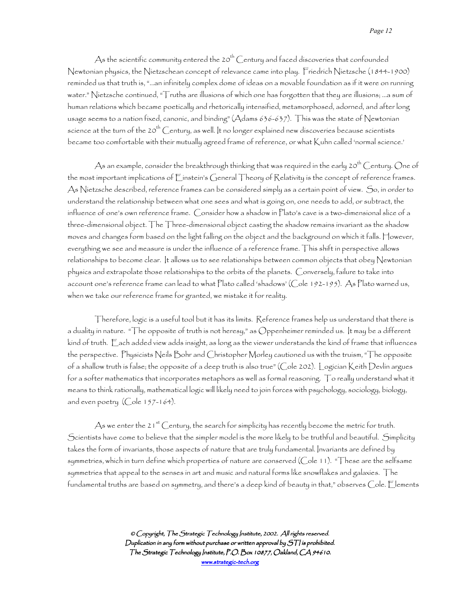As the scientific community entered the 20<sup>th</sup> Century and faced discoveries that confounded Newtonian physics, the Nietzschean concept of relevance came into play. Friedrich Nietzsche (1844-1900) reminded us that truth is, "…an infinitely complex dome of ideas on a movable foundation as if it were on running water." Nietzsche continued, "Truths are illusions of which one has forgotten that they are illusions; …a sum of human relations which became poetically and rhetorically intensified, metamorphosed, adorned, and after long usage seems to a nation fixed, canonic, and binding" (Adams 636-637). This was the state of Newtonian science at the turn of the 20<sup>th</sup> Century, as well. It no longer explained new discoveries because scientists became too comfortable with their mutually agreed frame of reference, or what Kuhn called 'normal science.'

As an example, consider the breakthrough thinking that was required in the early  $20^{th}$  Century. One of the most important implications of Einstein's General Theory of Relativity is the concept of reference frames. As Nietzsche described, reference frames can be considered simply as a certain point of view. So, in order to understand the relationship between what one sees and what is going on, one needs to add, or subtract, the influence of one's own reference frame. Consider how a shadow in Plato's cave is a two-dimensional slice of a three-dimensional object. The Three-dimensional object casting the shadow remains invariant as the shadow moves and changes form based on the light falling on the object and the background on which it falls. However, everything we see and measure is under the influence of a reference frame. This shift in perspective allows relationships to become clear. It allows us to see relationships between common objects that obey Newtonian physics and extrapolate those relationships to the orbits of the planets. Conversely, failure to take into account one's reference frame can lead to what Plato called 'shadows' (Cole 192-195). As Plato warned us, when we take our reference frame for granted, we mistake it for reality.

Therefore, logic is a useful tool but it has its limits. Reference frames help us understand that there is a duality in nature. "The opposite of truth is not heresy," as Oppenheimer reminded us. It may be a different kind of truth. Each added view adds insight, as long as the viewer understands the kind of frame that influences the perspective. Physicists Neils Bohr and Christopher Morley cautioned us with the truism, "The opposite of a shallow truth is false; the opposite of a deep truth is also true" (Cole 202). Logician Keith Devlin argues for a softer mathematics that incorporates metaphors as well as formal reasoning. To really understand what it means to think rationally, mathematical logic will likely need to join forces with psychology, sociology, biology, and even poetry (Cole 157-164).

As we enter the 21<sup>st</sup> Century, the search for simplicity has recently become the metric for truth. Scientists have come to believe that the simpler model is the more likely to be truthful and beautiful. Simplicity takes the form of invariants, those aspects of nature that are truly fundamental. Invariants are defined by symmetries, which in turn define which properties of nature are conserved (Cole 11). "These are the selfsame symmetries that appeal to the senses in art and music and natural forms like snowflakes and galaxies. The fundamental truths are based on symmetry, and there's a deep kind of beauty in that," observes Cole. Elements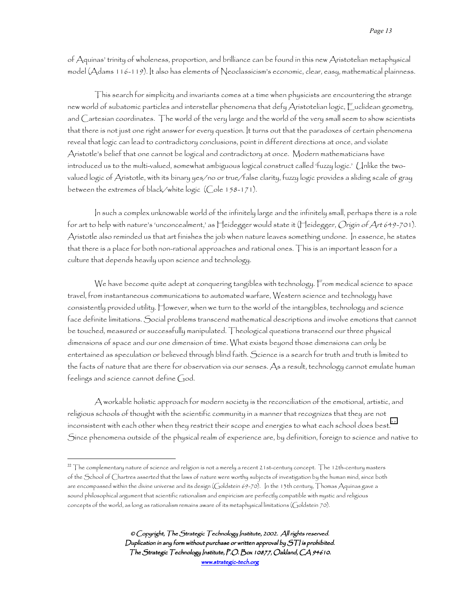of Aquinas' trinity of wholeness, proportion, and brilliance can be found in this new Aristotelian metaphysical model (Adams 116-119). It also has elements of Neoclassicism's economic, clear, easy, mathematical plainness.

This search for simplicity and invariants comes at a time when physicists are encountering the strange new world of subatomic particles and interstellar phenomena that defy Aristotelian logic, Euclidean geometry, and Cartesian coordinates. The world of the very large and the world of the very small seem to show scientists that there is not just one right answer for every question. It turns out that the paradoxes of certain phenomena reveal that logic can lead to contradictory conclusions, point in different directions at once, and violate Aristotle's belief that one cannot be logical and contradictory at once. Modern mathematicians have introduced us to the multi-valued, somewhat ambiguous logical construct called 'fuzzy logic.' Unlike the twovalued logic of Aristotle, with its binary yes/no or true/false clarity, fuzzy logic provides a sliding scale of gray between the extremes of black/white logic (Cole 158-171).

In such a complex unknowable world of the infinitely large and the infinitely small, perhaps there is a role for art to help with nature's 'unconcealment,' as Heidegger would state it (Heidegger, *Origin of Art 6*49-701). Aristotle also reminded us that art finishes the job when nature leaves something undone. In essence, he states that there is a place for both non-rational approaches and rational ones. This is an important lesson for a culture that depends heavily upon science and technology.

We have become quite adept at conquering tangibles with technology. From medical science to space travel, from instantaneous communications to automated warfare, Western science and technology have consistently provided utility. However, when we turn to the world of the intangibles, technology and science face definite limitations. Social problems transcend mathematical descriptions and involve emotions that cannot be touched, measured or successfully manipulated. Theological questions transcend our three physical dimensions of space and our one dimension of time. What exists beyond those dimensions can only be entertained as speculation or believed through blind faith. Science is a search for truth and truth is limited to the facts of nature that are there for observation via our senses. As a result, technology cannot emulate human feelings and science cannot define God.

A workable holistic approach for modern society is the reconciliation of the emotional, artistic, and religious schools of thought with the scientific community in a manner that recognizes that they are not inconsistent with each other when they restrict their scope and energies to what each school does best.<sup>22</sup> Since phenomena outside of the physical realm of experience are, by definition, foreign to science and native to

 $\overline{a}$ 

 $^{22}$  The complementary nature of science and religion is not a merely a recent 21st-century concept. The 12th-century masters of the School of Chartres asserted that the laws of nature were worthy subjects of investigation by the human mind, since both are encompassed within the divine universe and its design (Goldstein 69-70). In the 13th century, Thomas Aquinas gave a sound philosophical argument that scientific rationalism and empiricism are perfectly compatible with mystic and religious concepts of the world, as long as rationalism remains aware of its metaphysical limitations (Goldstein 70).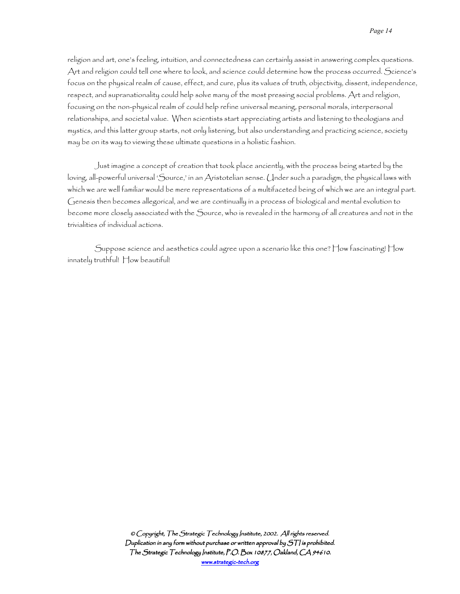religion and art, one's feeling, intuition, and connectedness can certainly assist in answering complex questions. Art and religion could tell one where to look, and science could determine how the process occurred. Science's focus on the physical realm of cause, effect, and cure, plus its values of truth, objectivity, dissent, independence, respect, and supranationality could help solve many of the most pressing social problems. Art and religion, focusing on the non-physical realm of could help refine universal meaning, personal morals, interpersonal relationships, and societal value. When scientists start appreciating artists and listening to theologians and mystics, and this latter group starts, not only listening, but also understanding and practicing science, society may be on its way to viewing these ultimate questions in a holistic fashion.

Just imagine a concept of creation that took place anciently, with the process being started by the loving, all-powerful universal 'Source,' in an Aristotelian sense. Under such a paradigm, the physical laws with which we are well familiar would be mere representations of a multifaceted being of which we are an integral part. Genesis then becomes allegorical, and we are continually in a process of biological and mental evolution to become more closely associated with the Source, who is revealed in the harmony of all creatures and not in the trivialities of individual actions.

Suppose science and aesthetics could agree upon a scenario like this one? How fascinating! How innately truthful! How beautiful!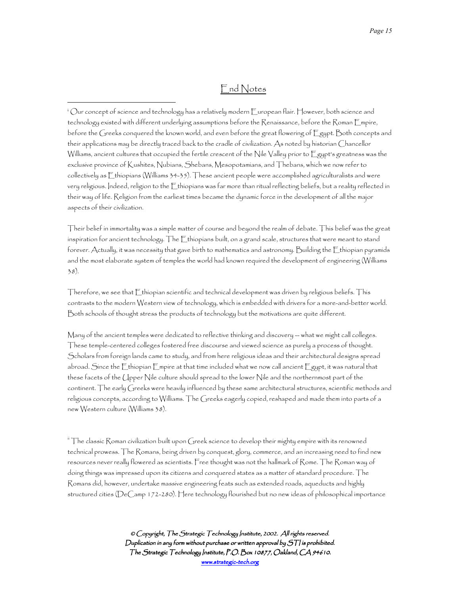## End Notes

<sup>i</sup> Our concept of science and technology has a relatively modern European flair. However, both science and technology existed with different underlying assumptions before the Renaissance, before the Roman Empire, before the Greeks conquered the known world, and even before the great flowering of Egypt. Both concepts and their applications may be directly traced back to the cradle of civilization. As noted by historian Chancellor Williams, ancient cultures that occupied the fertile crescent of the Nile Valley prior to Egypt's greatness was the exclusive province of Kushites, Nubians, Shebans, Mesopotamians, and Thebans, which we now refer to collectively as Ethiopians (Williams 34-35). These ancient people were accomplished agriculturalists and were very religious. Indeed, religion to the Ethiopians was far more than ritual reflecting beliefs, but a reality reflected in their way of life. Religion from the earliest times became the dynamic force in the development of all the major aspects of their civilization.

<u>.</u>

Their belief in immortality was a simple matter of course and beyond the realm of debate. This belief was the great inspiration for ancient technology. The Ethiopians built, on a grand scale, structures that were meant to stand forever. Actually, it was necessity that gave birth to mathematics and astronomy. Building the Ethiopian pyramids and the most elaborate system of temples the world had known required the development of engineering (Williams 38).

Therefore, we see that Ethiopian scientific and technical development was driven by religious beliefs. This contrasts to the modern Western view of technology, which is embedded with drivers for a more-and-better world. Both schools of thought stress the products of technology but the motivations are quite different.

Many of the ancient temples were dedicated to reflective thinking and discovery -- what we might call colleges. These temple-centered colleges fostered free discourse and viewed science as purely a process of thought. Scholars from foreign lands came to study, and from here religious ideas and their architectural designs spread abroad. Since the  $\sqsubset$ thiopian  $\sqsubset$ mpire at that time included what we now call ancient  $\sqsubset$ gypt, it was natural that these facets of the Upper Nile culture should spread to the lower Nile and the northernmost part of the continent. The early Greeks were heavily influenced by these same architectural structures, scientific methods and religious concepts, according to Williams. The Greeks eagerly copied, reshaped and made them into parts of a new Western culture (Williams 38).

 $\hbox{``The classic Roman civilization built upon Greek science to develop their mighty empire with its removed}$ technical prowess. The Romans, being driven by conquest, glory, commerce, and an increasing need to find new resources never really flowered as scientists. Free thought was not the hallmark of Rome. The Roman way of doing things was impressed upon its citizens and conquered states as a matter of standard procedure. The Romans did, however, undertake massive engineering feats such as extended roads, aqueducts and highly structured cities (DeCamp 172-280). Here technology flourished but no new ideas of philosophical importance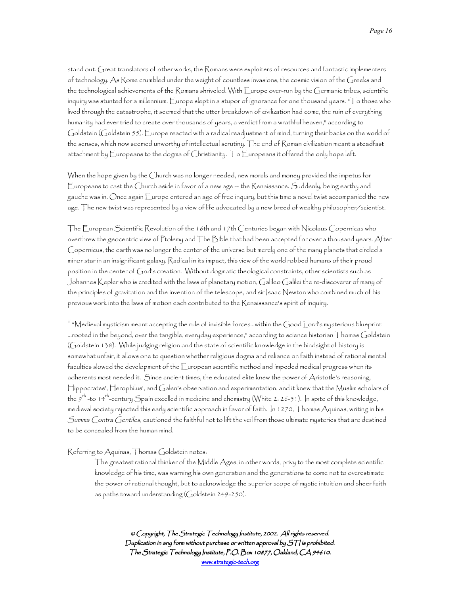stand out. Great translators of other works, the Romans were exploiters of resources and fantastic implementers of technology. As Rome crumbled under the weight of countless invasions, the cosmic vision of the Greeks and the technological achievements of the Romans shriveled. With Europe over-run by the Germanic tribes, scientific inquiry was stunted for a millennium.  $\sqsubseteq$ urope slept in a stupor of ignorance for one thousand years. " $\top$ o those who lived through the catastrophe, it seemed that the utter breakdown of civilization had come, the ruin of everything humanity had ever tried to create over thousands of years, a verdict from a wrathful heaven," according to Goldstein (Goldstein 55). Europe reacted with a radical readjustment of mind, turning their backs on the world of the senses, which now seemed unworthy of intellectual scrutiny. The end of Roman civilization meant a steadfast attachment by Europeans to the dogma of Christianity. To Europeans it offered the only hope left.

When the hope given by the Church was no longer needed, new morals and money provided the impetus for Europeans to cast the Church aside in favor of a new age -- the Renaissance. Suddenly, being earthy and gauche was in. Once again Europe entered an age of free inquiry, but this time a novel twist accompanied the new age. The new twist was represented by a view of life advocated by a new breed of wealthy philosopher/scientist.

The European Scientific Revolution of the 16th and 17th Centuries began with Nicolaus Copernicas who overthrew the geocentric view of Ptolemy and The Bible that had been accepted for over a thousand years. After Copernicus, the earth was no longer the center of the universe but merely one of the many planets that circled a minor star in an insignificant galaxy. Radical in its impact, this view of the world robbed humans of their proud position in the center of God's creation. Without dogmatic theological constraints, other scientists such as Johannes Kepler who is credited with the laws of planetary motion, Galileo Galilei the re-discoverer of many of the principles of gravitation and the invention of the telescope, and sir Isaac Newton who combined much of his previous work into the laws of motion each contributed to the Renaissance's spirit of inquiry.

 $\,$  "Medieval mysticism meant accepting the rule of invisible forces…within the Good Lord's mysterious blueprint …rooted in the beyond, over the tangible, everyday experience," according to science historian Thomas Goldstein (Goldstein 138). While judging religion and the state of scientific knowledge in the hindsight of history is somewhat unfair, it allows one to question whether religious dogma and reliance on faith instead of rational mental faculties slowed the development of the European scientific method and impeded medical progress when its adherents most needed it. Since ancient times, the educated elite knew the power of Aristotle's reasoning, Hippocrates', Herophilus', and Galen's observation and experimentation, and it knew that the Muslim scholars of the 9th -to 14th-century Spain excelled in medicine and chemistry (White 2: 26-51). In spite of this knowledge, medieval society rejected this early scientific approach in favor of faith. In 1270, Thomas Aquinas, writing in his Summa Contra Gentiles, cautioned the faithful not to lift the veil from those ultimate mysteries that are destined to be concealed from the human mind.

## Referring to Aquinas, Thomas Goldstein notes:

 $\overline{a}$ 

The greatest rational thinker of the Middle Ages, in other words, privy to the most complete scientific knowledge of his time, was warning his own generation and the generations to come not to overestimate the power of rational thought, but to acknowledge the superior scope of mystic intuition and sheer faith as paths toward understanding (Goldstein 249-250).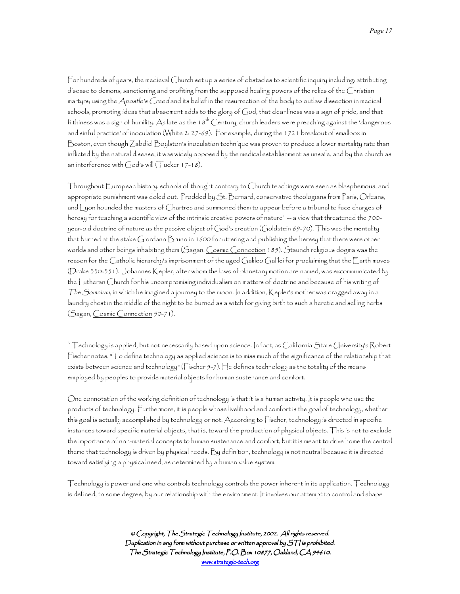For hundreds of years, the medieval Church set up a series of obstacles to scientific inquiry including: attributing disease to demons; sanctioning and profiting from the supposed healing powers of the relics of the Christian martyrs; using the Apostle's Creed and its belief in the resurrection of the body to outlaw dissection in medical schools; promoting ideas that abasement adds to the glory of God, that cleanliness was a sign of pride, and that filthiness was a sign of humility. As late as the 18<sup>th</sup> Century, church leaders were preaching against the 'dangerous and sinful practice' of inoculation (White 2: 27-69). For example, during the 1721 breakout of smallpox in Boston, even though Zabdiel Boylston's inoculation technique was proven to produce a lower mortality rate than inflicted by the natural disease, it was widely opposed by the medical establishment as unsafe, and by the church as an interference with God's will (Tucker 17-18).

 $\overline{a}$ 

Throughout European history, schools of thought contrary to Church teachings were seen as blasphemous, and appropriate punishment was doled out. Prodded by St. Bernard, conservative theologians from Paris, Orleans, and Lyon hounded the masters of Chartres and summoned them to appear before a tribunal to face charges of heresy for teaching a scientific view of the intrinsic creative powers of nature  $\stackrel{\text{\tiny{iii}}}{=}$  a view that threatened the 700year-old doctrine of nature as the passive object of God's creation (Goldstein 69-70). This was the mentality that burned at the stake Giordano Bruno in 1600 for uttering and publishing the heresy that there were other worlds and other beings inhabiting them (Sagan, Cosmic Connection 185). Staunch religious dogma was the reason for the Catholic hierarchy's imprisonment of the aged Galileo Galilei for proclaiming that the Earth moves (Drake 330-351). Johannes Kepler, after whom the laws of planetary motion are named, was excommunicated by the Lutheran Church for his uncompromising individualism on matters of doctrine and because of his writing of The Somnium, in which he imagined a journey to the moon. In addition, Kepler's mother was dragged away in a laundry chest in the middle of the night to be burned as a witch for giving birth to such a heretic and selling herbs (Sagan, Cosmic Connection 50-71).

 $^{\circ}$  Technology is applied, but not necessarily based upon science. In fact, as California State University's Robert Fischer notes, "To define technology as applied science is to miss much of the significance of the relationship that exists between science and technology" (Fischer 5-7). He defines technology as the totality of the means employed by peoples to provide material objects for human sustenance and comfort.

One connotation of the working definition of technology is that it is a human activity. It is people who use the products of technology. Furthermore, it is people whose livelihood and comfort is the goal of technology, whether this goal is actually accomplished by technology or not. According to Fischer, technology is directed in specific instances toward specific material objects, that is, toward the production of physical objects. This is not to exclude the importance of non-material concepts to human sustenance and comfort, but it is meant to drive home the central theme that technology is driven by physical needs. By definition, technology is not neutral because it is directed toward satisfying a physical need, as determined by a human value system.

Technology is power and one who controls technology controls the power inherent in its application. Technology is defined, to some degree, by our relationship with the environment. It involves our attempt to control and shape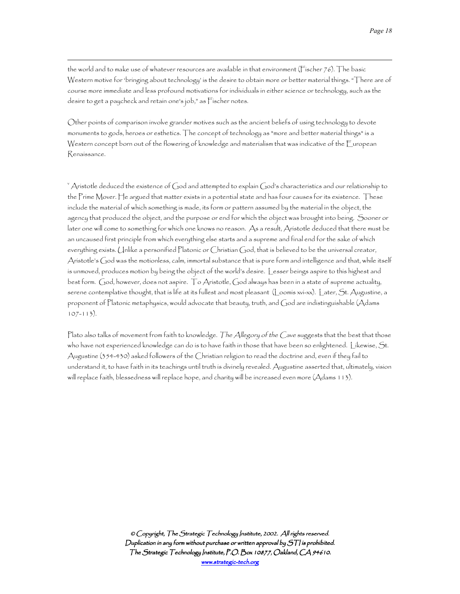*Page 18* 

the world and to make use of whatever resources are available in that environment (Fischer 76). The basic Western motive for 'bringing about technology' is the desire to obtain more or better material things. "There are of course more immediate and less profound motivations for individuals in either science or technology, such as the desire to get a paycheck and retain one's job," as Fischer notes.

 $\overline{a}$ 

Other points of comparison involve grander motives such as the ancient beliefs of using technology to devote monuments to gods, heroes or esthetics. The concept of technology as "more and better material things" is a Western concept born out of the flowering of knowledge and materialism that was indicative of the European Renaissance.

 $^\circ$  Aristotle deduced the existence of God and attempted to explain God's characteristics and our relationship to the Prime Mover. He argued that matter exists in a potential state and has four causes for its existence. These include the material of which something is made, its form or pattern assumed by the material in the object, the agency that produced the object, and the purpose or end for which the object was brought into being. Sooner or later one will come to something for which one knows no reason. As a result, Aristotle deduced that there must be an uncaused first principle from which everything else starts and a supreme and final end for the sake of which everything exists. Unlike a personified Platonic or Christian God, that is believed to be the universal creator, Aristotle's God was the motionless, calm, immortal substance that is pure form and intelligence and that, while itself is unmoved, produces motion by being the object of the world's desire. Lesser beings aspire to this highest and best form. God, however, does not aspire. To Aristotle, God always has been in a state of supreme actuality, serene contemplative thought, that is life at its fullest and most pleasant (Loomis xvi-xx). Later, St. Augustine, a proponent of Platonic metaphysics, would advocate that beauty, truth, and God are indistinguishable (Adams 107-113).

Plato also talks of movement from faith to knowledge. The Allegory of the Cave suggests that the best that those who have not experienced knowledge can do is to have faith in those that have been so enlightened. Likewise, St. Augustine (354-430) asked followers of the Christian religion to read the doctrine and, even if they fail to understand it, to have faith in its teachings until truth is divinely revealed. Augustine asserted that, ultimately, vision will replace faith, blessedness will replace hope, and charity will be increased even more (Adams 113).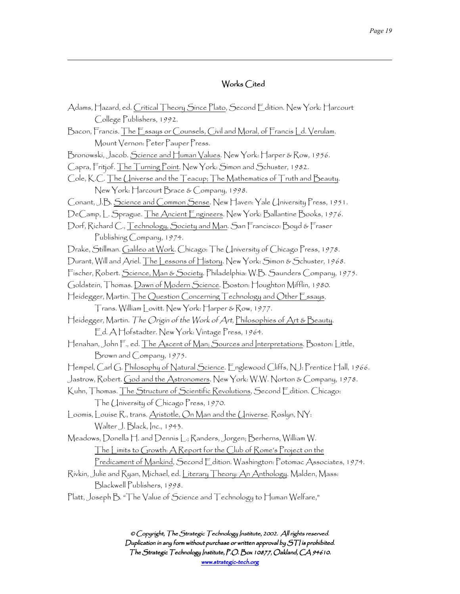## Works Cited

 $\overline{a}$ 

| Adams, Hazard, ed. <u>Critical Theory Since Plato,</u> Second Edition. New York: Harcourt                   |
|-------------------------------------------------------------------------------------------------------------|
| College Publishers, 1992.                                                                                   |
| Bacon, Francis. <u>The Essays or Counsels, Civil and Moral, of Francis Ld. Verulam</u> .                    |
| Mount Vernon: Peter Pauper Press.                                                                           |
| Bronowski, Jacob. <u>Science and Human Values</u> . New York: Harper & Row, 1956.                           |
| Capra, Fritjof. <u>The Turning Point</u> . New York: Simon and Schuster, 1982.                              |
| Cole, K.C. The Universe and the Teacup; The Mathematics of Truth and Beauty.                                |
| New York: Harcourt Brace & Company, 1998.                                                                   |
| Conant, J.B. Science and Common Sense. New Haven: Yale University Press, 1951.                              |
| DeCamp, L. Sprague. <u>The Ancient Engineers</u> . New York: Ballantine Books, 1 <i>976</i> .               |
| Dorf, Richard C., <u>Technology, Society and Man</u> . San Francisco: Boyd & Fraser                         |
| Publishing Company, 1974.                                                                                   |
| Drake, Stillman. <u>Galileo at Work</u> . Chicago: The University of Chicago Press, 1 <i>978</i> .          |
| Durant, Will and Ariel. <u>The Lessons of History</u> . New York: Simon & Schuster, 1968.                   |
| Fischer, Robert. <u>Science, Man &amp; Society</u> . Philadelphia: W.B. Saunders Company, 1 <i>975</i> .    |
| Goldstein, Thomas. <u>Dawn of Modern Science</u> . Boston: Houghton Mifflin, 1 <i>98</i> 0.                 |
| Heidegger, Martin. The Question Concerning Technology and Other Essays.                                     |
| Trans. William Lovitt. New York: Harper & Row, 1977.                                                        |
| Heidegger, Martin. <i>The Origin of the Work of Art</i> , <u>Philosophies of Art &amp; Beauty</u> .         |
| Ed. A Hofstadter. New York: Vintage Press, 1964.                                                            |
| Henahan, John F., ed. The Ascent of Man; Sources and Interpretations. Boston: Little,                       |
| Brown and Company, 1975.                                                                                    |
| Hempel, Carl G. <u>Philosophy of Natural Science</u> . Englewood Cliffs, N.J. Prentice Hall, 1 <i>966</i> . |
| Jastrow, Robert. <u>God and the Astronomers</u> . New York: W.W. Norton & Company, 1 <i>978</i> .           |
| Kuhn, Thomas. The Structure of Scientific Revolutions, Second Edition. Chicago:                             |
| The University of Chicago Press, 1970.                                                                      |
| Loomis, Louise R., trans. Aristotle, On Man and the Universe. Roslyn, NY:                                   |
| Walter J. Black, Inc., 1943.                                                                                |
| Meadows, Donella H. and Dennis L.; Randers, Jorgen; Berherns, William W.                                    |
| <u>The Limits to Growth: A Report for the Club of Rome's Project on the</u>                                 |
| <u> Predicament of Mankind,</u> Second Edition. Washington: Potomac Associates, 1 <i>974</i> .              |
| Rívkín, Julíe and Ryan, Míchael, ed. <u>Líterary Theory: An Anthology</u> . Malden, Mass:                   |
| Blackwell Publishers, 1998.                                                                                 |
| Platt, Joseph B. "The Value of Science and Technology to Human Welfare,"                                    |